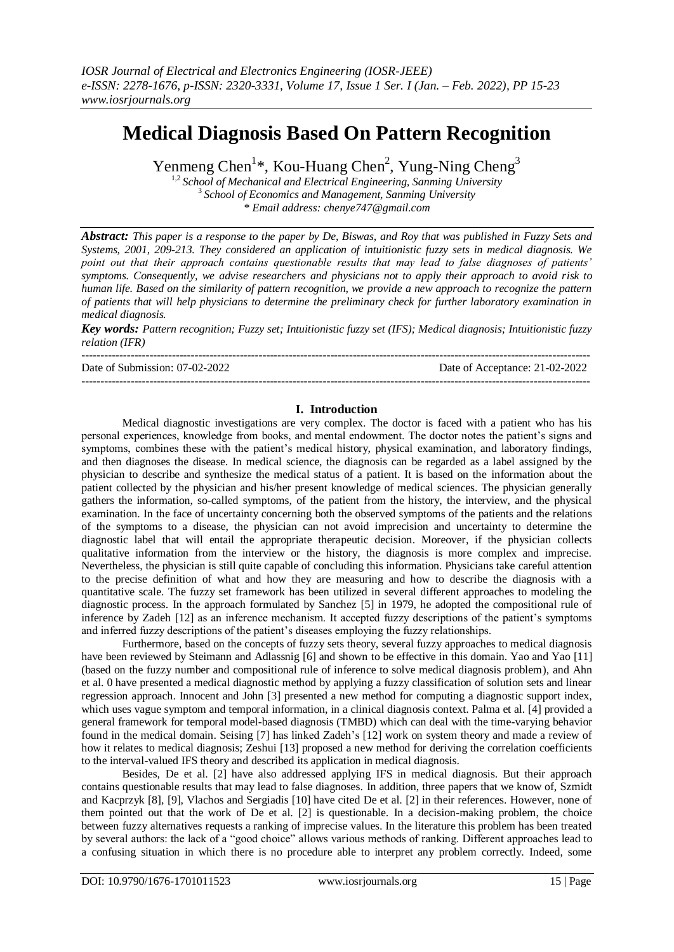# **Medical Diagnosis Based On Pattern Recognition**

Yenmeng Chen<sup>1\*</sup>, Kou-Huang Chen<sup>2</sup>, Yung-Ning Cheng<sup>3</sup>

1,2 *School of Mechanical and Electrical Engineering, Sanming University* 3 *School of Economics and Management, Sanming University \* Email address: chenye747@gmail.com*

*Abstract: This paper is a response to the paper by De, Biswas, and Roy that was published in Fuzzy Sets and Systems, 2001, 209-213. They considered an application of intuitionistic fuzzy sets in medical diagnosis. We point out that their approach contains questionable results that may lead to false diagnoses of patients' symptoms. Consequently, we advise researchers and physicians not to apply their approach to avoid risk to human life. Based on the similarity of pattern recognition, we provide a new approach to recognize the pattern of patients that will help physicians to determine the preliminary check for further laboratory examination in medical diagnosis.*

*Key words: Pattern recognition; Fuzzy set; Intuitionistic fuzzy set (IFS); Medical diagnosis; Intuitionistic fuzzy relation (IFR)*  $-1-\frac{1}{2}$ 

Date of Submission: 07-02-2022 Date of Acceptance: 21-02-2022

## **I. Introduction**

---------------------------------------------------------------------------------------------------------------------------------------

Medical diagnostic investigations are very complex. The doctor is faced with a patient who has his personal experiences, knowledge from books, and mental endowment. The doctor notes the patient's signs and symptoms, combines these with the patient's medical history, physical examination, and laboratory findings, and then diagnoses the disease. In medical science, the diagnosis can be regarded as a label assigned by the physician to describe and synthesize the medical status of a patient. It is based on the information about the patient collected by the physician and his/her present knowledge of medical sciences. The physician generally gathers the information, so-called symptoms, of the patient from the history, the interview, and the physical examination. In the face of uncertainty concerning both the observed symptoms of the patients and the relations of the symptoms to a disease, the physician can not avoid imprecision and uncertainty to determine the diagnostic label that will entail the appropriate therapeutic decision. Moreover, if the physician collects qualitative information from the interview or the history, the diagnosis is more complex and imprecise. Nevertheless, the physician is still quite capable of concluding this information. Physicians take careful attention to the precise definition of what and how they are measuring and how to describe the diagnosis with a quantitative scale. The fuzzy set framework has been utilized in several different approaches to modeling the diagnostic process. In the approach formulated by Sanchez [\[5\]](#page-8-0) in 1979, he adopted the compositional rule of inference by Zadeh [\[12\]](#page-8-1) as an inference mechanism. It accepted fuzzy descriptions of the patient's symptoms and inferred fuzzy descriptions of the patient's diseases employing the fuzzy relationships.

Furthermore, based on the concepts of fuzzy sets theory, several fuzzy approaches to medical diagnosis have been reviewed by Steimann and Adlassnig [\[6\]](#page-8-2) and shown to be effective in this domain. Yao and Yao [\[11\]](#page-8-3) (based on the fuzzy number and compositional rule of inference to solve medical diagnosis problem), and Ahn et al. [0](#page-8-4) have presented a medical diagnostic method by applying a fuzzy classification of solution sets and linear regression approach. Innocent and John [\[3\]](#page-8-5) presented a new method for computing a diagnostic support index, which uses vague symptom and temporal information, in a clinical diagnosis context. Palma et al[. \[4\]](#page-8-6) provided a general framework for temporal model-based diagnosis (TMBD) which can deal with the time-varying behavior found in the medical domain. Seising [\[7\]](#page-8-7) has linked Zadeh's [\[12\]](#page-8-1) work on system theory and made a review of how it relates to medical diagnosis; Zeshui [\[13\]](#page-8-8) proposed a new method for deriving the correlation coefficients to the interval-valued IFS theory and described its application in medical diagnosis.

Besides, De et al. [\[2\]](#page-8-9) have also addressed applying IFS in medical diagnosis. But their approach contains questionable results that may lead to false diagnoses. In addition, three papers that we know of, Szmidt and Kacprzyk [\[8\],](#page-8-10) [\[9\],](#page-8-11) Vlachos and Sergiadis [\[10\]](#page-8-12) have cited De et al. [\[2\]](#page-8-9) in their references. However, none of them pointed out that the work of De et al. [\[2\]](#page-8-9) is questionable. In a decision-making problem, the choice between fuzzy alternatives requests a ranking of imprecise values. In the literature this problem has been treated by several authors: the lack of a "good choice" allows various methods of ranking. Different approaches lead to a confusing situation in which there is no procedure able to interpret any problem correctly. Indeed, some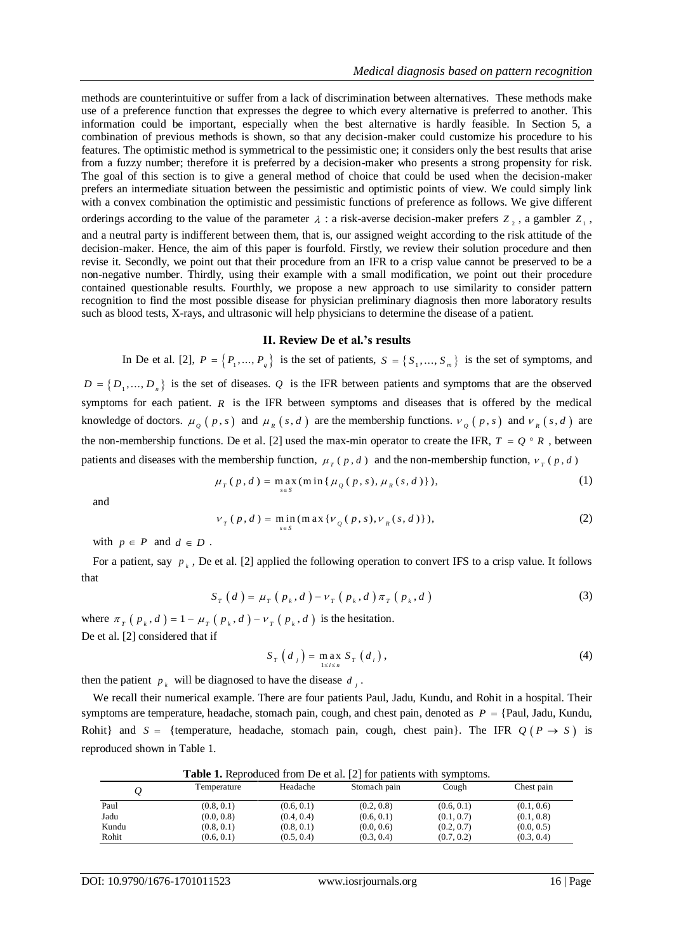methods are counterintuitive or suffer from a lack of discrimination between alternatives. These methods make use of a preference function that expresses the degree to which every alternative is preferred to another. This information could be important, especially when the best alternative is hardly feasible. In Section 5, a combination of previous methods is shown, so that any decision-maker could customize his procedure to his features. The optimistic method is symmetrical to the pessimistic one; it considers only the best results that arise from a fuzzy number; therefore it is preferred by a decision-maker who presents a strong propensity for risk. The goal of this section is to give a general method of choice that could be used when the decision-maker prefers an intermediate situation between the pessimistic and optimistic points of view. We could simply link with a convex combination the optimistic and pessimistic functions of preference as follows. We give different orderings according to the value of the parameter  $\lambda$ : a risk-averse decision-maker prefers  $Z_2$ , a gambler  $Z_1$ , and a neutral party is indifferent between them, that is, our assigned weight according to the risk attitude of the decision-maker. Hence, the aim of this paper is fourfold. Firstly, we review their solution procedure and then revise it. Secondly, we point out that their procedure from an IFR to a crisp value cannot be preserved to be a non-negative number. Thirdly, using their example with a small modification, we point out their procedure contained questionable results. Fourthly, we propose a new approach to use similarity to consider pattern recognition to find the most possible disease for physician preliminary diagnosis then more laboratory results such as blood tests, X-rays, and ultrasonic will help physicians to determine the disease of a patient.

# **II. Review De et al.'s results**

In De et al. [\[2\],](#page-8-9)  $P = \{P_1, ..., P_q\}$  is the set of patients,  $S = \{S_1, ..., S_m\}$  is the set of symptoms, and

 $D = \{D_1, ..., D_n\}$  is the set of diseases. Q is the IFR between patients and symptoms that are the observed symptoms for each patient.  $R$  is the IFR between symptoms and diseases that is offered by the medical knowledge of doctors.  $\mu_{Q}(p, s)$  and  $\mu_{R}(s, d)$  are the membership functions.  $v_{Q}(p, s)$  and  $v_{R}(s, d)$  are the non-membership functions. De et al. [\[2\]](#page-8-9) used the max-min operator to create the IFR,  $T = Q^{\circ} R$ , between patients and diseases with the membership function,  $\mu_T(p, d)$  and the non-membership function,  $\nu_T(p, d)$ <br> $\mu_T(p, d) = \max_{p \in S} (\min \{ \mu_Q(p, s), \mu_R(s, d) \}),$ 

$$
u_r(p,d) = \max_{s \in S} (\min\{ \mu_Q(p,s), \mu_R(s,d) \}),
$$
 (1)

and

$$
v_r(p,d) = \min_{s \in S} (\max \{ v_q(p,s), v_g(s,d) \}),
$$
 (2)

with  $p \in P$  and  $d \in D$ .

For a patient, say  $p_k$ , De et al. [\[2\]](#page-8-9) applied the following operation to convert IFS to a crisp value. It follows that

$$
S_{T}(d) = \mu_{T}(p_{k}, d) - \nu_{T}(p_{k}, d) \pi_{T}(p_{k}, d)
$$
\n(3)

where  $\pi_T(p_k, d) = 1 - \mu_T(p_k, d) - v_T(p_k, d)$  is the hesitation. De et al. [\[2\]](#page-8-9) considered that if

$$
S_T\left(d_j\right) = \max_{1 \le i \le n} S_T\left(d_i\right),\tag{4}
$$

then the patient  $p_k$  will be diagnosed to have the disease  $d_j$ .

We recall their numerical example. There are four patients Paul, Jadu, Kundu, and Rohit in a hospital. Their symptoms are temperature, headache, stomach pain, cough, and chest pain, denoted as  $P = \{Pauli, Jadu, Kundu,$ Rohit} and  $S = \{$  temperature, headache, stomach pain, cough, chest pain}. The IFR  $Q(P \rightarrow S)$  is reproduced shown in Table 1.

|       | <b>Table 1.</b> Reproduced from De et al. $ Z $ for patients with symptoms. |            |              |            |            |  |  |  |  |
|-------|-----------------------------------------------------------------------------|------------|--------------|------------|------------|--|--|--|--|
|       | Temperature                                                                 | Headache   | Stomach pain | Cough      | Chest pain |  |  |  |  |
| Paul  | (0.8, 0.1)                                                                  | (0.6, 0.1) | (0.2, 0.8)   | (0.6, 0.1) | (0.1, 0.6) |  |  |  |  |
| Jadu  | (0.0, 0.8)                                                                  | (0.4, 0.4) | (0.6, 0.1)   | (0.1, 0.7) | (0.1, 0.8) |  |  |  |  |
| Kundu | (0.8, 0.1)                                                                  | (0.8, 0.1) | (0.0, 0.6)   | (0.2, 0.7) | (0.0, 0.5) |  |  |  |  |
| Rohit | (0.6, 0.1)                                                                  | (0.5, 0.4) | (0.3, 0.4)   | (0.7, 0.2) | (0.3, 0.4) |  |  |  |  |

**Table 1.** Reproduced from De et al[. \[2\]](#page-8-9) for patients with symptoms.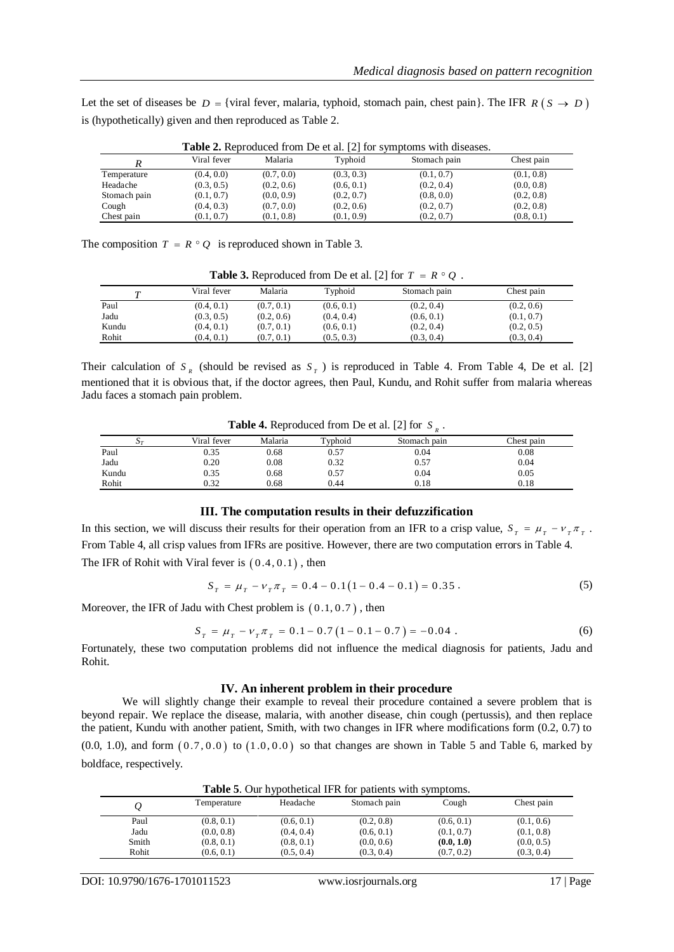Let the set of diseases be  $D = \{ \text{viral fever}, \text{malaria}, \text{typhoid}, \text{stomach pain}, \text{check pain} \}.$  The IFR  $R(S \to D)$ is (hypothetically) given and then reproduced as Table 2.

|              | <b>Table 2.</b> Reproduced from De et al. $ 2 $ for symptoms with diseases. |            |            |              |            |  |  |  |
|--------------|-----------------------------------------------------------------------------|------------|------------|--------------|------------|--|--|--|
|              | Viral fever                                                                 | Malaria    | Typhoid    | Stomach pain | Chest pain |  |  |  |
| Temperature  | (0.4, 0.0)                                                                  | (0.7, 0.0) | (0.3, 0.3) | (0.1, 0.7)   | (0.1, 0.8) |  |  |  |
| Headache     | (0.3, 0.5)                                                                  | (0.2, 0.6) | (0.6, 0.1) | (0.2, 0.4)   | (0.0, 0.8) |  |  |  |
| Stomach pain | (0.1, 0.7)                                                                  | (0.0, 0.9) | (0.2, 0.7) | (0.8, 0.0)   | (0.2, 0.8) |  |  |  |
| Cough        | (0.4, 0.3)                                                                  | (0.7, 0.0) | (0.2, 0.6) | (0.2, 0.7)   | (0.2, 0.8) |  |  |  |
| Chest pain   | (0.1, 0.7)                                                                  | (0.1, 0.8) | (0.1, 0.9) | (0.2, 0.7)   | (0.8, 0.1) |  |  |  |

**Table 2.** Reproduced from De et al. [\[2\]](#page-8-9) for symptoms with diseases.

The composition  $T = R \circ Q$  is reproduced shown in Table 3.

**Table 3.** Reproduced from De et al. [\[2\]](#page-8-9) for  $T = R \circ Q$ .

|       | Viral fever | Malaria    | Typhoid    | Stomach pain | Chest pain |
|-------|-------------|------------|------------|--------------|------------|
| Paul  | (0.4, 0.1)  | (0.7, 0.1) | (0.6, 0.1) | (0.2, 0.4)   | (0.2, 0.6) |
| Jadu  | (0.3, 0.5)  | (0.2, 0.6) | (0.4, 0.4) | (0.6, 0.1)   | (0.1, 0.7) |
| Kundu | (0.4, 0.1)  | (0.7, 0.1) | (0.6, 0.1) | (0.2, 0.4)   | (0.2, 0.5) |
| Rohit | (0.4, 0.1)  | (0.7, 0.1) | (0.5, 0.3) | (0.3, 0.4)   | (0.3, 0.4) |

Their calculation of  $S_R$  (should be revised as  $S_T$ ) is reproduced in Table 4. From Table 4, De et al. [\[2\]](#page-8-9) mentioned that it is obvious that, if the doctor agrees, then Paul, Kundu, and Rohit suffer from malaria whereas Jadu faces a stomach pain problem.

| <b>Table 4.</b> Reproduced from De et al. [2] for $S_n$ . |  |  |
|-----------------------------------------------------------|--|--|
|-----------------------------------------------------------|--|--|

| $\Delta \tau$ | Viral fever | Malaria | Typhoid | Stomach pain | Chest pain |
|---------------|-------------|---------|---------|--------------|------------|
| Paul          | 0.35        | 0.68    | 0.57    | 0.04         | 0.08       |
| Jadu          | 0.20        | 0.08    | 0.32    | 0.57         | 0.04       |
| Kundu         | 0.35        | 0.68    | 0.57    | 0.04         | 0.05       |
| Rohit         | 0.32        | 0.68    | 0.44    | 0.18         | 0.18       |
|               |             |         |         |              |            |

#### **III. The computation results in their defuzzification**

In this section, we will discuss their results for their operation from an IFR to a crisp value,  $S_T = \mu_T - \nu_T \pi_T$ . From Table 4, all crisp values from IFRs are positive. However, there are two computation errors in Table 4. The IFR of Rohit with Viral fever is  $(0.4, 0.1)$ , then

(5) Every is 
$$
(0.4, 0.1)
$$
, then  
\n
$$
S_T = \mu_T - \nu_T \pi_T = 0.4 - 0.1(1 - 0.4 - 0.1) = 0.35.
$$

Moreover, the IFR of Jadu with Chester problem is 
$$
(0.1, 0.7)
$$
, then  
\n
$$
S_T = \mu_T - \nu_T \pi_T = 0.1 - 0.7 (1 - 0.1 - 0.7) = -0.04.
$$
\n(6)

Fortunately, these two computation problems did not influence the medical diagnosis for patients, Jadu and Rohit.

#### **IV. An inherent problem in their procedure**

We will slightly change their example to reveal their procedure contained a severe problem that is beyond repair. We replace the disease, malaria, with another disease, chin cough (pertussis), and then replace the patient, Kundu with another patient, Smith, with two changes in IFR where modifications form (0.2, 0.7) to  $(0.0, 1.0)$ , and form  $(0.7, 0.0)$  to  $(1.0, 0.0)$  so that changes are shown in Table 5 and Table 6, marked by boldface, respectively.

| <b>Table 5.</b> Our hypothetical IFR for patients with symptoms. |             |            |              |            |            |  |  |  |
|------------------------------------------------------------------|-------------|------------|--------------|------------|------------|--|--|--|
|                                                                  | Temperature | Headache   | Stomach pain | Cough      | Chest pain |  |  |  |
| Paul                                                             | (0.8, 0.1)  | (0.6, 0.1) | (0.2, 0.8)   | (0.6, 0.1) | (0.1, 0.6) |  |  |  |
| Jadu                                                             | (0.0, 0.8)  | (0.4, 0.4) | (0.6, 0.1)   | (0.1, 0.7) | (0.1, 0.8) |  |  |  |
| Smith                                                            | (0.8, 0.1)  | (0.8, 0.1) | (0.0, 0.6)   | (0.0, 1.0) | (0.0, 0.5) |  |  |  |
| Rohit                                                            | (0.6, 0.1)  | (0.5, 0.4) | (0.3, 0.4)   | (0.7, 0.2) | (0.3, 0.4) |  |  |  |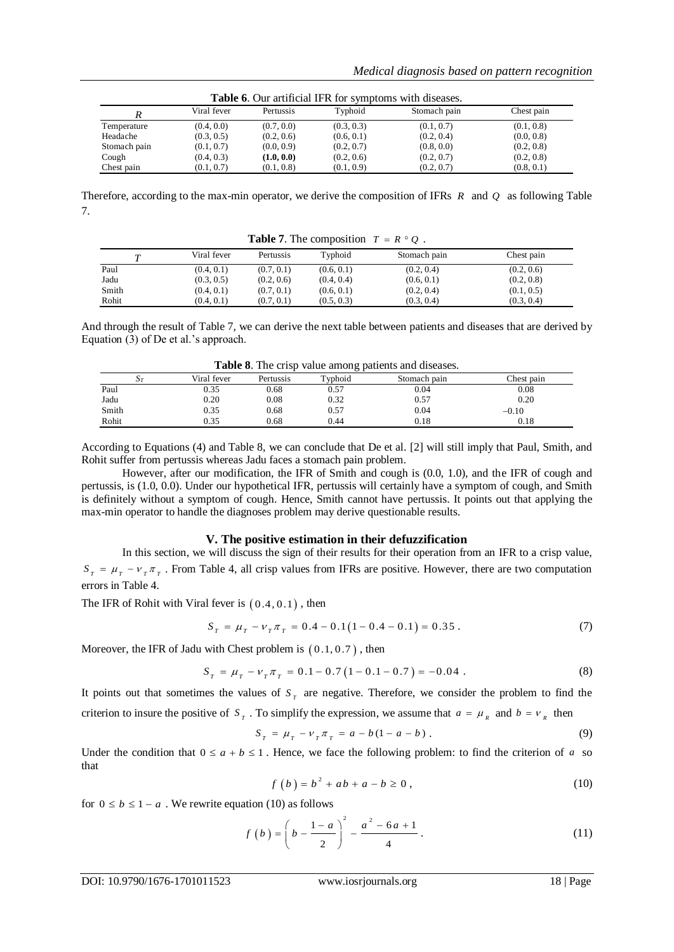|              | <b>Table 0.</b> Our althouar If K for symptoms with diseases. |            |            |              |            |  |  |  |  |
|--------------|---------------------------------------------------------------|------------|------------|--------------|------------|--|--|--|--|
|              | Viral fever                                                   | Pertussis  | Typhoid    | Stomach pain | Chest pain |  |  |  |  |
| Temperature  | (0.4, 0.0)                                                    | (0.7, 0.0) | (0.3, 0.3) | (0.1, 0.7)   | (0.1, 0.8) |  |  |  |  |
| Headache     | (0.3, 0.5)                                                    | (0.2, 0.6) | (0.6, 0.1) | (0.2, 0.4)   | (0.0, 0.8) |  |  |  |  |
| Stomach pain | (0.1, 0.7)                                                    | (0.0, 0.9) | (0.2, 0.7) | (0.8, 0.0)   | (0.2, 0.8) |  |  |  |  |
| Cough        | (0.4, 0.3)                                                    | (1.0.0.0)  | (0.2, 0.6) | (0.2, 0.7)   | (0.2, 0.8) |  |  |  |  |
| Chest pain   | (0.1, 0.7)                                                    | (0.1, 0.8) | (0.1, 0.9) | (0.2, 0.7)   | (0.8, 0.1) |  |  |  |  |

**Table 6**. Our artificial IFR for symptoms with diseases.

Therefore, according to the max-min operator, we derive the composition of IFRs *R* and *Q* as following Table 7.

| <b>Ruble</b> 1. The composition $I = N \cup V$ . |             |            |            |              |            |  |  |  |
|--------------------------------------------------|-------------|------------|------------|--------------|------------|--|--|--|
| m                                                | Viral fever | Pertussis  | Typhoid    | Stomach pain | Chest pain |  |  |  |
| Paul                                             | (0.4, 0.1)  | (0.7, 0.1) | (0.6, 0.1) | (0.2, 0.4)   | (0.2, 0.6) |  |  |  |
| Jadu                                             | (0.3, 0.5)  | (0.2, 0.6) | (0.4, 0.4) | (0.6, 0.1)   | (0.2, 0.8) |  |  |  |
| Smith                                            | (0.4, 0.1)  | (0.7, 0.1) | (0.6, 0.1) | (0.2, 0.4)   | (0.1, 0.5) |  |  |  |
| Rohit                                            | (0.4, 0.1)  | (0.7, 0.1) | (0.5, 0.3) | (0.3, 0.4)   | (0.3, 0.4) |  |  |  |

**Table 7.** The composition  $T = R \circ Q$ .

And through the result of Table 7, we can derive the next table between patients and diseases that are derived by Equation (3) of De et al.'s approach.

| Table 8. The crisp value among patients and diseases. |  |  |  |  |  |  |
|-------------------------------------------------------|--|--|--|--|--|--|
|-------------------------------------------------------|--|--|--|--|--|--|

| where or the error cancel anions patients and expended. |             |           |         |              |            |  |  |
|---------------------------------------------------------|-------------|-----------|---------|--------------|------------|--|--|
| $\Delta T$                                              | Viral fever | Pertussis | Typhoid | Stomach pain | Chest pain |  |  |
| Paul                                                    | 0.35        | 0.68      | 0.57    | 0.04         | 0.08       |  |  |
| Jadu                                                    | 0.20        | 0.08      | 0.32    | 0.57         | 0.20       |  |  |
| Smith                                                   | ).35        | 0.68      | 0.57    | 0.04         | $-0.10$    |  |  |
| Rohit                                                   | 0.35        | 0.68      | 0.44    | 0.18         | 0.18       |  |  |

According to Equations (4) and Table 8, we can conclude that De et al. [\[2\]](#page-8-9) will still imply that Paul, Smith, and Rohit suffer from pertussis whereas Jadu faces a stomach pain problem.

However, after our modification, the IFR of Smith and cough is (0.0, 1.0), and the IFR of cough and pertussis, is (1.0, 0.0). Under our hypothetical IFR, pertussis will certainly have a symptom of cough, and Smith is definitely without a symptom of cough. Hence, Smith cannot have pertussis. It points out that applying the max-min operator to handle the diagnoses problem may derive questionable results.

## **V. The positive estimation in their defuzzification**

In this section, we will discuss the sign of their results for their operation from an IFR to a crisp value,  $S_T = \mu_T - \nu_T \pi_T$ . From Table 4, all crisp values from IFRs are positive. However, there are two computation errors in Table 4.

The IFR of Rohit with Viral fever is  $(0.4, 0.1)$ , then

If every is 
$$
(0.4, 0.1)
$$
, then  
\n
$$
S_T = \mu_T - \nu_T \pi_T = 0.4 - 0.1(1 - 0.4 - 0.1) = 0.35.
$$
\n(7)

Moreover, the IFR of Jadu with Chester problem is 
$$
(0.1, 0.7)
$$
, then  
\n
$$
S_T = \mu_T - \nu_T \pi_T = 0.1 - 0.7 (1 - 0.1 - 0.7) = -0.04.
$$
\n(8)

It points out that sometimes the values of  $S<sub>T</sub>$  are negative. Therefore, we consider the problem to find the criterion to insure the positive of  $S_T$ . To simplify the expression, we assume that  $a = \mu_R$  and  $b = v_R$  then

$$
S_T = \mu_T - \nu_T \pi_T = a - b(1 - a - b) \tag{9}
$$

Under the condition that  $0 \le a + b \le 1$ . Hence, we face the following problem: to find the criterion of a so that

$$
f(b) = b2 + ab + a - b \ge 0,
$$
 (10)

for  $0 \le b \le 1 - a$ . We rewrite equation (10) as follows

$$
f(b) = \left(b - \frac{1-a}{2}\right)^2 - \frac{a^2 - 6a + 1}{4}.
$$
 (11)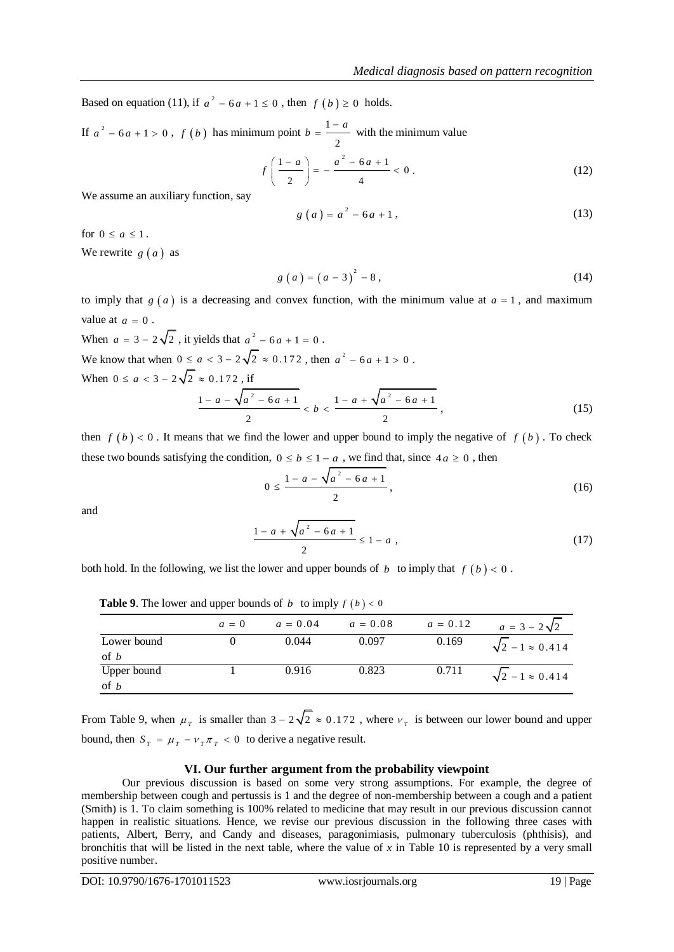Based on equation (11), if  $a^2 - 6a + 1 \le 0$ , then  $f(b) \ge 0$  holds.

If  $a^2 - 6a + 1 > 0$ ,  $f(b)$  has minimum point  $b = \frac{1}{2}$ 2  $b = \frac{1-a}{a}$  with the minimum value

$$
f\left(\frac{1-a}{2}\right) = -\frac{a^2 - 6a + 1}{4} < 0.
$$
 (12)

We assume an auxiliary function, say

$$
g(a) = a2 - 6a + 1,
$$
 (13)

for  $0 \le a \le 1$ .

We rewrite  $g(a)$  as

$$
g(a) = (a-3)^2 - 8,
$$
 (14)

to imply that  $g(a)$  is a decreasing and convex function, with the minimum value at  $a = 1$ , and maximum value at  $a = 0$ .

When  $a = 3 - 2\sqrt{2}$ , it yields that  $a^2 - 6a + 1 = 0$ . We know that when  $0 \le a < 3 - 2\sqrt{2} \approx 0.172$ , then  $a^2 - 6a + 1 > 0$ . When  $0 \le a < 3 - 2\sqrt{2} \approx 0.172$ , if  $1 - a - \sqrt{a^2 - 6a + 1}$ 2 *a a a b* 2 1 6 1 2  $-a + \sqrt{a^2 - 6a + 1}$  $(15)$ 

then  $f(b) < 0$ . It means that we find the lower and upper bound to imply the negative of  $f(b)$ . To check these two bounds satisfying the condition,  $0 \le b \le 1 - a$ , we find that, since  $4a \ge 0$ , then

$$
0 \le \frac{1 - a - \sqrt{a^2 - 6a + 1}}{2},\tag{16}
$$

and

$$
\frac{1-a+\sqrt{a^2-6a+1}}{2} \le 1-a,
$$
\n(17)

both hold. In the following, we list the lower and upper bounds of  $b$  to imply that  $f(b) < 0$ .

|                     | $a=0$ | $a = 0.04$ | $a = 0.08$ | $a = 0.12$ | $a = 3 - 2\sqrt{2}$          |
|---------------------|-------|------------|------------|------------|------------------------------|
| Lower bound<br>of b |       | 0.044      | 0.097      | 0.169      | $\sqrt{2} - 1 \approx 0.414$ |
| Upper bound<br>of b |       | 0.916      | 0.823      | 0.711      | $\sqrt{2} - 1 \approx 0.414$ |

**Table 9.** The lower and upper bounds of  $b$  to imply  $f(b) < 0$ 

From Table 9, when  $\mu_{\tau}$  is smaller than  $3 - 2\sqrt{2} \approx 0.172$ , where  $\nu_{\tau}$  is between our lower bound and upper bound, then  $S_T = \mu_T - \nu_T \pi_T < 0$  to derive a negative result.

# **VI. Our further argument from the probability viewpoint**

Our previous discussion is based on some very strong assumptions. For example, the degree of membership between cough and pertussis is 1 and the degree of non-membership between a cough and a patient (Smith) is 1. To claim something is 100% related to medicine that may result in our previous discussion cannot happen in realistic situations. Hence, we revise our previous discussion in the following three cases with patients, Albert, Berry, and Candy and diseases, paragonimiasis, pulmonary tuberculosis (phthisis), and bronchitis that will be listed in the next table, where the value of *x* in Table 10 is represented by a very small positive number.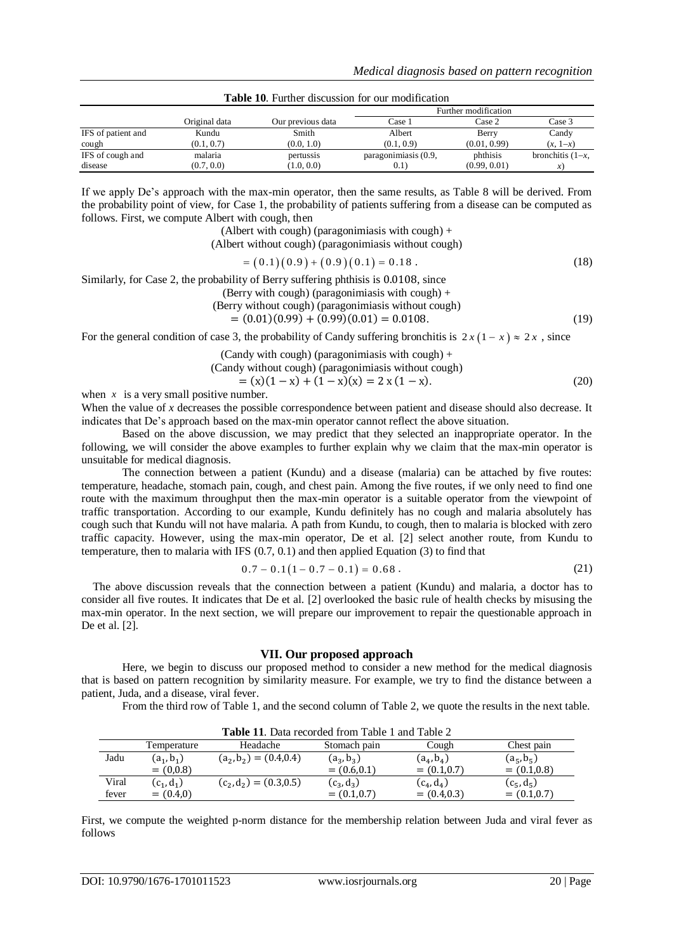|                    |               |                   | Further modification |              |                    |
|--------------------|---------------|-------------------|----------------------|--------------|--------------------|
|                    | Original data | Our previous data | Case 1               | Case 2       | Case 3             |
| IFS of patient and | Kundu         | Smith             | Albert               | Berry        | Candy              |
| cough              | (0.1, 0.7)    | (0.0, 1.0)        | (0.1, 0.9)           | (0.01, 0.99) | $(x, 1-x)$         |
| IFS of cough and   | malaria       | pertussis         | paragonimiasis (0.9, | phthisis     | bronchitis $(1-x,$ |
| disease            | (0.7, 0.0)    | (1.0, 0.0)        | (0.1)                | (0.99, 0.01) | $\mathcal{X}$      |

**Table 10**. Further discussion for our modification

If we apply De's approach with the max-min operator, then the same results, as Table 8 will be derived. From the probability point of view, for Case 1, the probability of patients suffering from a disease can be computed as follows. First, we compute Albert with cough, then

(Albert with cough) (paragonimiasis with cough) +

(Albert without cough) (paragonimiasis without cough)

$$
= (0.1)(0.9) + (0.9)(0.1) = 0.18
$$
 (18)

Similarly, for Case 2, the probability of Berry suffering phthisis is  $0.0108$ , since

(Berry with cough) (paragonimiasis with cough)  $+$ 

(Berry without cough) (paragonimiasis without cough)

 $= (0.01)(0.99) + (0.99)(0.01) = 0.0108.$  (19)

For the general condition of case 3, the probability of Candy suffering bronchitis is  $2x(1-x) \approx 2x$ , since

(Candy with cough) (paragonimiasis with cough)  $+$ 

(Candy without cough) (paragonimiasis without cough)

$$
= (x)(1-x) + (1-x)(x) = 2x(1-x).
$$
 (20)

when  $x$  is a very small positive number.

When the value of *x* decreases the possible correspondence between patient and disease should also decrease. It indicates that De's approach based on the max-min operator cannot reflect the above situation.

Based on the above discussion, we may predict that they selected an inappropriate operator. In the following, we will consider the above examples to further explain why we claim that the max-min operator is unsuitable for medical diagnosis.

The connection between a patient (Kundu) and a disease (malaria) can be attached by five routes: temperature, headache, stomach pain, cough, and chest pain. Among the five routes, if we only need to find one route with the maximum throughput then the max-min operator is a suitable operator from the viewpoint of traffic transportation. According to our example, Kundu definitely has no cough and malaria absolutely has cough such that Kundu will not have malaria. A path from Kundu, to cough, then to malaria is blocked with zero traffic capacity. However, using the max-min operator, De et al. [\[2\]](#page-8-9) select another route, from Kundu to temperature, then to malaria with IFS (0.7, 0.1) and then applied Equation (3) to find that

$$
0.7 - 0.1(1 - 0.7 - 0.1) = 0.68
$$
 (21)

The above discussion reveals that the connection between a patient (Kundu) and malaria, a doctor has to consider all five routes. It indicates that De et al. [\[2\]](#page-8-9) overlooked the basic rule of health checks by misusing the max-min operator. In the next section, we will prepare our improvement to repair the questionable approach in De et al. [\[2\].](#page-8-9)

### **VII. Our proposed approach**

Here, we begin to discuss our proposed method to consider a new method for the medical diagnosis that is based on pattern recognition by similarity measure. For example, we try to find the distance between a patient, Juda, and a disease, viral fever.

From the third row of Table 1, and the second column of Table 2, we quote the results in the next table.

| <b>Table 11.</b> Data recorded from Table 1 and Table 2 |              |                           |                |                |                |  |
|---------------------------------------------------------|--------------|---------------------------|----------------|----------------|----------------|--|
|                                                         | Temperature  | Headache                  | Stomach pain   | Cough          | Chest pain     |  |
| Jadu                                                    | $(a_1, b_1)$ | $(a_2, b_2) = (0.4, 0.4)$ | $(a_3, b_3)$   | $(a_4, b_4)$   | $(a_5, b_5)$   |  |
|                                                         | $= (0,0.8)$  |                           | $= (0.6, 0.1)$ | $= (0.1, 0.7)$ | $= (0.1, 0.8)$ |  |
| Viral                                                   | $(c_1, d_1)$ | $(c_2, d_2) = (0.3, 0.5)$ | $(c_3, d_3)$   | $(c_4, d_4)$   | $(c_5, d_5)$   |  |
| fever                                                   | $= (0.4, 0)$ |                           | $= (0.1, 0.7)$ | $= (0.4, 0.3)$ | $= (0.1, 0.7)$ |  |

First, we compute the weighted p-norm distance for the membership relation between Juda and viral fever as follows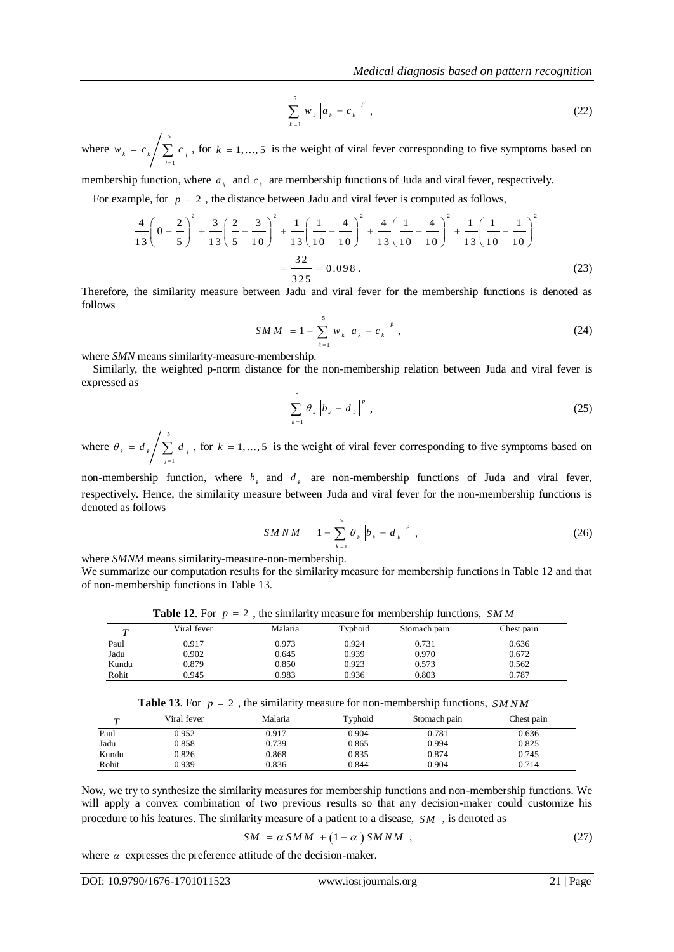$$
\sum_{k=1}^{5} w_k |a_k - c_k|^p,
$$
\n(22)

where 5 1 *k k j j*  $w_{i} = c_{i} / \sum c_{i}$  $c_k / \sum_{j=1}^{\infty} c_j$ , for  $k = 1, ..., 5$  is the weight of viral fever corresponding to five symptoms based on

membership function, where  $a_k$  and  $c_k$  are membership functions of Juda and viral fever, respectively.

For example, for  $p = 2$ , the distance between Jadu and viral fever is computed as follows,<br>  $\begin{pmatrix} 2 \end{pmatrix}^2$ ,  $\begin{pmatrix} 2 \end{pmatrix}$ ,  $\begin{pmatrix} 2 \end{pmatrix}$ ,  $\begin{pmatrix} 1 \end{pmatrix}$ ,  $\begin{pmatrix} 1 \end{pmatrix}$ ,  $\begin{pmatrix} 1 \end{pmatrix}$ ,  $\begin{pmatrix} 1 \end{pmatrix}$ ,

$$
\sum_{z=1}^{1} w_{x} |a_{x} - c_{x}|^{2}
$$
 (22)  
\nwhere  $w_{x} = c_{x} \int \sum_{y=1}^{1} c_{y} x$ , for  $k = 1,...,5$  is the weight of viral fever corresponding to five symptoms based on  
\nmembership function, where  $a_{x}$  and  $c_{x}$  are membership functions of Juda and viral flere, respectively.  
\nFor example, for  $p = 2$ , the distance between Jada and viral fever is computed as follows,  
\n
$$
\frac{4}{13} \left( 0 - \frac{2}{5} \right)^{2} + \frac{3}{13} \left( \frac{2}{5} - \frac{3}{10} \right)^{2} + \frac{1}{13} \left( \frac{1}{10} - \frac{4}{10} \right)^{2} + \frac{4}{13} \left( \frac{1}{10} - \frac{4}{10} \right)^{2} + \frac{1}{13} \left( \frac{1}{10} - \frac{1}{10} \right)^{2}
$$
\n
$$
= \frac{32}{325} = 0.098.
$$
\nTherefore, the similarity measure between Jada and viral fever for the membership functions is denoted as  
\n
$$
S M M = 1 - \sum_{x=1}^{1} w_{x} |a_{x} - c_{x}|^{2}
$$
 (24)  
\nwhere SM means similarity-measure-membrership,  
\nSimilarly, the weighted prnorm distance for the non-membrership relation between Juda and viral fever is  
\nexpressed as  
\n
$$
\sum_{x=1}^{5} \theta_{x} |b_{x} - d_{x}|^{2}
$$
 (25)  
\nwhere  $\theta_{x} = d_{x} \int \sum_{y=1}^{5} d_{y} x$ , for  $k = 1,...,5$  is the weight of viral fever corresponding to five symptoms based on  
\nnon-membrership function, where  $b_{x}$  and  $d_{x}$  are non-membrership functions of Juda and viral fever is  
\nrespectively. Hence, the similarity measure between Juda and viral fever for the non-membrership functions is  
\ndenote  
\nas follows  
\nwhere SMM means similarity-measure-membrership,  
\nWe summarize our computation results for the similarity measure for membership functions. S MM  
\n
$$
\frac{T}{T}
$$

Therefore, the similarity measure between Jadu and viral fever for the membership functions is denoted as follows

$$
SMM = 1 - \sum_{k=1}^{5} w_k |a_k - c_k|^p,
$$
\n(24)

where *SMN* means similarity-measure-membership.

Similarly, the weighted p-norm distance for the non-membership relation between Juda and viral fever is expressed as

$$
\sum_{k=1}^{5} \theta_k \left| b_k - d_k \right|^p , \tag{25}
$$

where 5 1 *k k j j*  $\theta_{\mu} = d_{\mu} / \sum d$  $= d_{k} \left( \sum_{j=1}^{k} d_{j} \right)$ , for  $k = 1, ..., 5$  is the weight of viral fever corresponding to five symptoms based on

non-membership function, where  $b_k$  and  $d_k$  are non-membership functions of Juda and viral fever, respectively. Hence, the similarity measure between Juda and viral fever for the non-membership functions is denoted as follows

$$
S M N M = 1 - \sum_{k=1}^{5} \theta_{k} |b_{k} - d_{k}|^{p}, \qquad (26)
$$

where *SMNM* means similarity-measure-non-membership.

We summarize our computation results for the similarity measure for membership functions in Table 12 and that of non-membership functions in Table 13.

**Table 12.** For  $p = 2$ , the similarity measure for membership functions, SMM

|       | Viral fever | Malaria | Typhoid | Stomach pain | Chest pain |
|-------|-------------|---------|---------|--------------|------------|
| Paul  | 0.917       | 0.973   | 0.924   | 0.731        | 0.636      |
| Jadu  | 0.902       | 0.645   | 0.939   | 0.970        | 0.672      |
| Kundu | 0.879       | 0.850   | 0.923   | 0.573        | 0.562      |
| Rohit | 0.945       | 0.983   | 0.936   | 0.803        | 0.787      |

**Table 13.** For  $p = 2$ , the similarity measure for non-membership functions, SMNM

| $\mathbf{r}$ | Viral fever | Malaria | Typhoid | Stomach pain | Chest pain |
|--------------|-------------|---------|---------|--------------|------------|
| Paul         | 0.952       | 0.917   | 0.904   | 0.781        | 0.636      |
| Jadu         | 0.858       | 0.739   | 0.865   | 0.994        | 0.825      |
| Kundu        | 0.826       | 0.868   | 0.835   | 0.874        | 0.745      |
| Rohit        | 0.939       | 0.836   | 0.844   | 0.904        | 0.714      |

Now, we try to synthesize the similarity measures for membership functions and non-membership functions. We will apply a convex combination of two previous results so that any decision-maker could customize his procedure to his features. The similarity measure of a patient to a disease, *SM* , is denoted as

$$
SM = \alpha SMM + (1 - \alpha) SMNM , \qquad (27)
$$

where  $\alpha$  expresses the preference attitude of the decision-maker.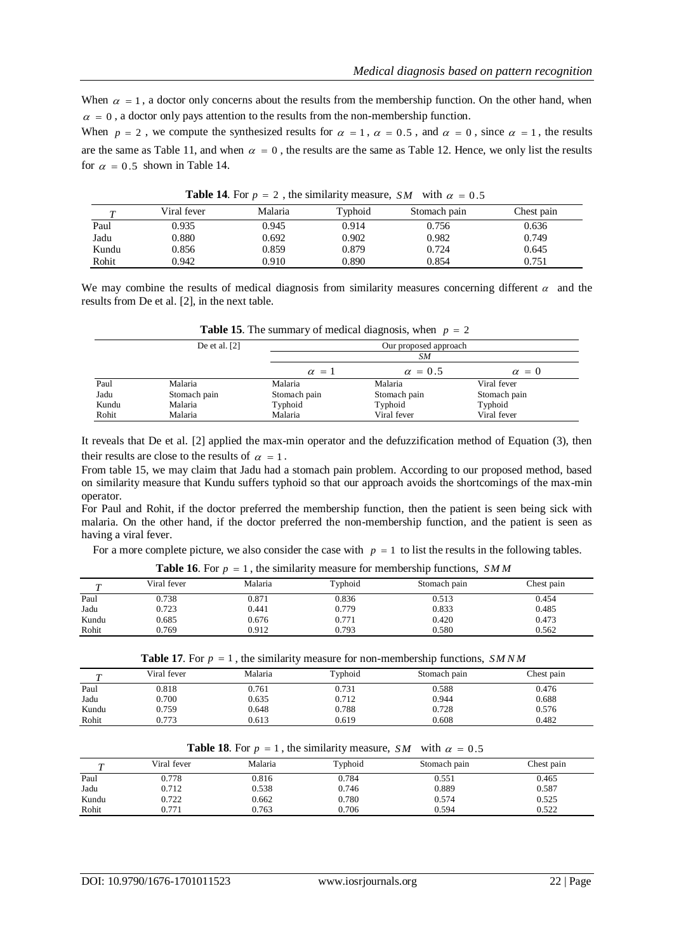When  $\alpha = 1$ , a doctor only concerns about the results from the membership function. On the other hand, when  $\alpha = 0$ , a doctor only pays attention to the results from the non-membership function.

When  $p = 2$ , we compute the synthesized results for  $\alpha = 1$ ,  $\alpha = 0.5$ , and  $\alpha = 0$ , since  $\alpha = 1$ , the results are the same as Table 11, and when  $\alpha = 0$ , the results are the same as Table 12. Hence, we only list the results for  $\alpha = 0.5$  shown in Table 14.

| <b>Table 14.</b> For $p = 2$ , the similarity measure, $\Delta M$ with $\alpha = 0.3$ |             |         |         |              |            |
|---------------------------------------------------------------------------------------|-------------|---------|---------|--------------|------------|
|                                                                                       | Viral fever | Malaria | Typhoid | Stomach pain | Chest pain |
| Paul                                                                                  | 0.935       | 0.945   | 0.914   | 0.756        | 0.636      |
| Jadu                                                                                  | 0.880       | 0.692   | 0.902   | 0.982        | 0.749      |
| Kundu                                                                                 | 0.856       | 0.859   | 0.879   | 0.724        | 0.645      |
| Rohit                                                                                 | 0.942       | 0.910   | 0.890   | 0.854        | 0.751      |

**Table 14.** For  $p = 2$ , the similarity measure, *SM* with  $\alpha = 0.5$ 

We may combine the results of medical diagnosis from similarity measures concerning different  $\alpha$  and the results from De et al[. \[2\],](#page-8-9) in the next table.

|       | De et al. $[2]$ |              | Our proposed approach |              |
|-------|-----------------|--------------|-----------------------|--------------|
|       |                 |              | SΜ                    |              |
|       |                 | $\alpha = 1$ | $\alpha = 0.5$        | $\alpha = 0$ |
| Paul  | Malaria         | Malaria      | Malaria               | Viral fever  |
| Jadu  | Stomach pain    | Stomach pain | Stomach pain          | Stomach pain |
| Kundu | Malaria         | Typhoid      | Typhoid               | Typhoid      |
| Rohit | Malaria         | Malaria      | Viral fever           | Viral fever  |

**Table 15**. The summary of medical diagnosis, when  $p = 2$ 

It reveals that De et al. [\[2\]](#page-8-9) applied the max-min operator and the defuzzification method of Equation (3), then their results are close to the results of  $\alpha = 1$ .

From table 15, we may claim that Jadu had a stomach pain problem. According to our proposed method, based on similarity measure that Kundu suffers typhoid so that our approach avoids the shortcomings of the max-min operator.

For Paul and Rohit, if the doctor preferred the membership function, then the patient is seen being sick with malaria. On the other hand, if the doctor preferred the non-membership function, and the patient is seen as having a viral fever.

For a more complete picture, we also consider the case with  $p = 1$  to list the results in the following tables.

| $\overline{ }$ | Viral fever | Malaria | Typhoid | Stomach pain | Chest pain |
|----------------|-------------|---------|---------|--------------|------------|
| Paul           | 0.738       | 0.871   | 0.836   | 0.513        | 0.454      |
| Jadu           | 0.723       | 0.441   | 0.779   | 0.833        | 0.485      |
| Kundu          | 0.685       | 0.676   | 0.771   | 0.420        | 0.473      |
| Rohit          | 0.769       | 0.912   | 0.793   | 0.580        | 0.562      |
|                |             |         |         |              |            |

**Table 16.** For  $p = 1$ , the similarity measure for membership functions,  $SMM$ 

**Table 17.** For  $p = 1$ , the similarity measure for non-membership functions,  $S M N M$ 

| $\overline{ }$ | Viral fever | Malaria | Typhoid | Stomach pain | Chest pain |
|----------------|-------------|---------|---------|--------------|------------|
| Paul           | 0.818       | 0.761   | 0.731   | 0.588        | 0.476      |
| Jadu           | 0.700       | 0.635   | 0.712   | 0.944        | 0.688      |
| Kundu          | 0.759       | 0.648   | 0.788   | 0.728        | 0.576      |
| Rohit          | 0.773       | 0.613   | 0.619   | 0.608        | 0.482      |
|                |             |         |         |              |            |

**Table 18.** For  $p = 1$ , the similarity measure, *SM* with  $\alpha = 0.5$ 

| $\overline{r}$ | Viral fever | Malaria | Typhoid | Stomach pain | Chest pain |
|----------------|-------------|---------|---------|--------------|------------|
| Paul           | 0.778       | 0.816   | 0.784   | 0.551        | 0.465      |
| Jadu           | 0.712       | 0.538   | 0.746   | 0.889        | 0.587      |
| Kundu          | 0.722       | 0.662   | 0.780   | 0.574        | 0.525      |
| Rohit          | 0.771       | 0.763   | 0.706   | 0.594        | 0.522      |